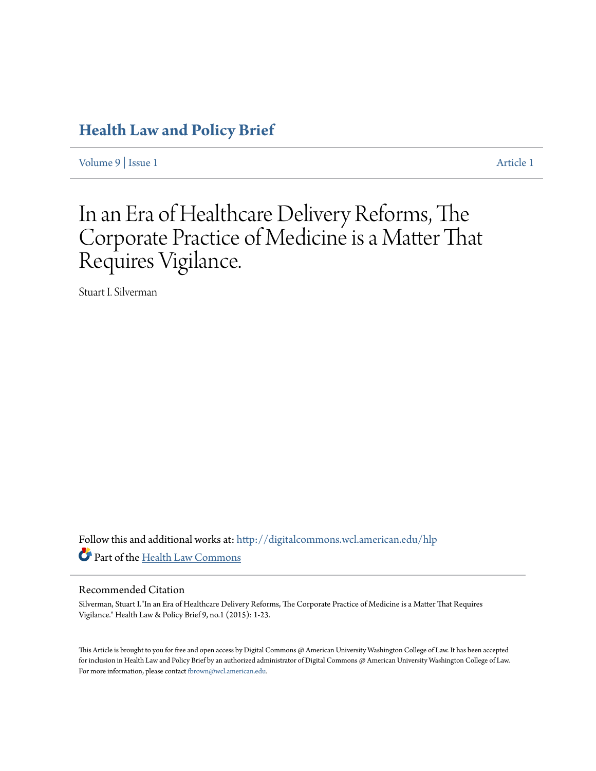### **[Health Law and Policy Brief](http://digitalcommons.wcl.american.edu/hlp?utm_source=digitalcommons.wcl.american.edu%2Fhlp%2Fvol9%2Fiss1%2F1&utm_medium=PDF&utm_campaign=PDFCoverPages)**

[Volume 9](http://digitalcommons.wcl.american.edu/hlp/vol9?utm_source=digitalcommons.wcl.american.edu%2Fhlp%2Fvol9%2Fiss1%2F1&utm_medium=PDF&utm_campaign=PDFCoverPages) | [Issue 1](http://digitalcommons.wcl.american.edu/hlp/vol9/iss1?utm_source=digitalcommons.wcl.american.edu%2Fhlp%2Fvol9%2Fiss1%2F1&utm_medium=PDF&utm_campaign=PDFCoverPages) [Article 1](http://digitalcommons.wcl.american.edu/hlp/vol9/iss1/1?utm_source=digitalcommons.wcl.american.edu%2Fhlp%2Fvol9%2Fiss1%2F1&utm_medium=PDF&utm_campaign=PDFCoverPages)

# In an Era of Healthcare Delivery Reforms, The Corporate Practice of Medicine is a Matter That Requires Vigilance.

Stuart I. Silverman

Follow this and additional works at: [http://digitalcommons.wcl.american.edu/hlp](http://digitalcommons.wcl.american.edu/hlp?utm_source=digitalcommons.wcl.american.edu%2Fhlp%2Fvol9%2Fiss1%2F1&utm_medium=PDF&utm_campaign=PDFCoverPages) Part of the [Health Law Commons](http://network.bepress.com/hgg/discipline/901?utm_source=digitalcommons.wcl.american.edu%2Fhlp%2Fvol9%2Fiss1%2F1&utm_medium=PDF&utm_campaign=PDFCoverPages)

#### Recommended Citation

Silverman, Stuart I."In an Era of Healthcare Delivery Reforms, The Corporate Practice of Medicine is a Matter That Requires Vigilance." Health Law & Policy Brief 9, no.1 (2015): 1-23.

This Article is brought to you for free and open access by Digital Commons @ American University Washington College of Law. It has been accepted for inclusion in Health Law and Policy Brief by an authorized administrator of Digital Commons @ American University Washington College of Law. For more information, please contact [fbrown@wcl.american.edu](mailto:fbrown@wcl.american.edu).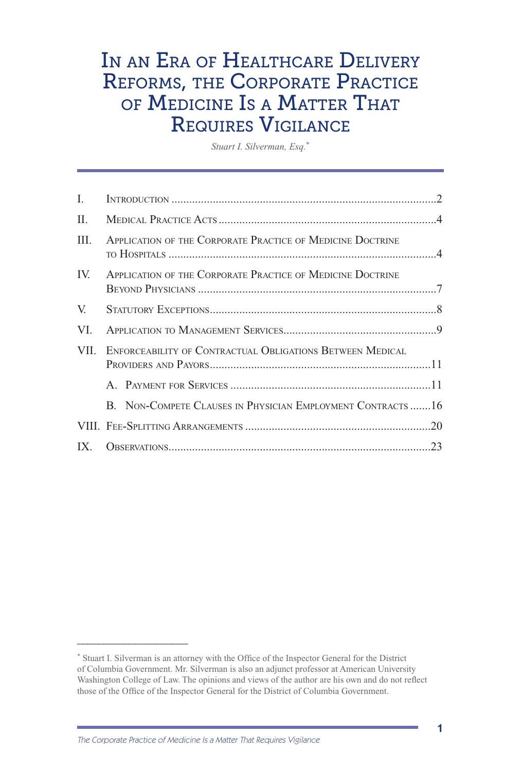## IN AN ERA OF HEALTHCARE DELIVERY Reforms, the Corporate Practice of Medicine Is <sup>a</sup> Matter That Requires Vigilance

*Stuart I. Silverman, Esq.*\*

| L    |                                                            |     |
|------|------------------------------------------------------------|-----|
| II.  |                                                            |     |
| III. | APPLICATION OF THE CORPORATE PRACTICE OF MEDICINE DOCTRINE |     |
| IV.  | APPLICATION OF THE CORPORATE PRACTICE OF MEDICINE DOCTRINE |     |
| V.   |                                                            |     |
| VI.  |                                                            |     |
| VII. | ENFORCEABILITY OF CONTRACTUAL OBLIGATIONS BETWEEN MEDICAL  |     |
|      |                                                            |     |
|      | B. NON-COMPETE CLAUSES IN PHYSICIAN EMPLOYMENT CONTRACTS16 |     |
|      |                                                            |     |
|      |                                                            | .23 |

**\_\_\_\_\_\_\_\_\_\_\_\_\_\_\_\_\_\_\_\_\_**

1

<sup>\*</sup> Stuart I. Silverman is an attorney with the Office of the Inspector General for the District of Columbia Government. Mr. Silverman is also an adjunct professor at American University Washington College of Law. The opinions and views of the author are his own and do not reflect those of the Office of the Inspector General for the District of Columbia Government.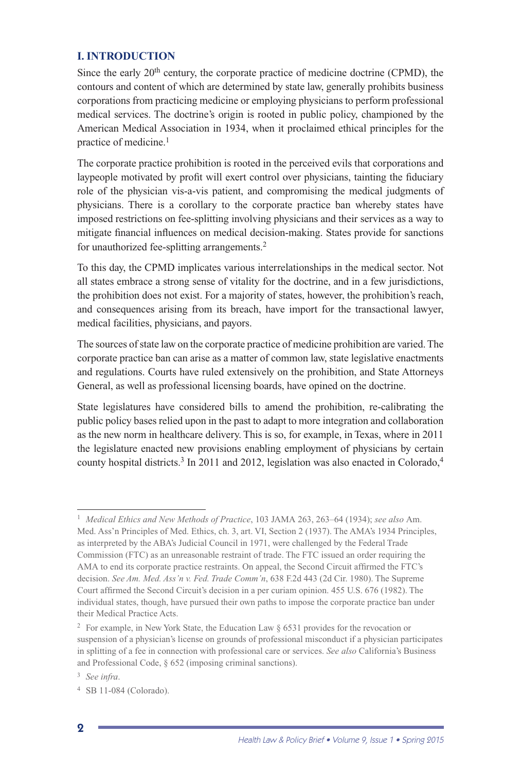#### **I. INTRODUCTION**

Since the early  $20<sup>th</sup>$  century, the corporate practice of medicine doctrine (CPMD), the contours and content of which are determined by state law, generally prohibits business corporations from practicing medicine or employing physicians to perform professional medical services. The doctrine's origin is rooted in public policy, championed by the American Medical Association in 1934, when it proclaimed ethical principles for the practice of medicine.1

The corporate practice prohibition is rooted in the perceived evils that corporations and laypeople motivated by profit will exert control over physicians, tainting the fiduciary role of the physician vis-a-vis patient, and compromising the medical judgments of physicians. There is a corollary to the corporate practice ban whereby states have imposed restrictions on fee-splitting involving physicians and their services as a way to mitigate financial influences on medical decision-making. States provide for sanctions for unauthorized fee-splitting arrangements.2

To this day, the CPMD implicates various interrelationships in the medical sector. Not all states embrace a strong sense of vitality for the doctrine, and in a few jurisdictions, the prohibition does not exist. For a majority of states, however, the prohibition's reach, and consequences arising from its breach, have import for the transactional lawyer, medical facilities, physicians, and payors.

The sources of state law on the corporate practice of medicine prohibition are varied. The corporate practice ban can arise as a matter of common law, state legislative enactments and regulations. Courts have ruled extensively on the prohibition, and State Attorneys General, as well as professional licensing boards, have opined on the doctrine.

State legislatures have considered bills to amend the prohibition, re-calibrating the public policy bases relied upon in the past to adapt to more integration and collaboration as the new norm in healthcare delivery. This is so, for example, in Texas, where in 2011 the legislature enacted new provisions enabling employment of physicians by certain county hospital districts.<sup>3</sup> In 2011 and 2012, legislation was also enacted in Colorado,<sup>4</sup>

<sup>1</sup> *Medical Ethics and New Methods of Practice*, 103 JAMA 263, 263–64 (1934); *see also* Am. Med. Ass'n Principles of Med. Ethics, ch. 3, art. VI, Section 2 (1937). The AMA's 1934 Principles, as interpreted by the ABA's Judicial Council in 1971, were challenged by the Federal Trade Commission (FTC) as an unreasonable restraint of trade. The FTC issued an order requiring the AMA to end its corporate practice restraints. On appeal, the Second Circuit affirmed the FTC's decision. *See Am. Med. Ass'n v. Fed. Trade Comm'n*, 638 F.2d 443 (2d Cir. 1980). The Supreme Court affirmed the Second Circuit's decision in a per curiam opinion. 455 U.S. 676 (1982). The individual states, though, have pursued their own paths to impose the corporate practice ban under their Medical Practice Acts.

<sup>&</sup>lt;sup>2</sup> For example, in New York State, the Education Law  $\S$  6531 provides for the revocation or suspension of a physician's license on grounds of professional misconduct if a physician participates in splitting of a fee in connection with professional care or services. *See also* California's Business and Professional Code, § 652 (imposing criminal sanctions).

<sup>3</sup> *See infra*.

<sup>4</sup> SB 11-084 (Colorado).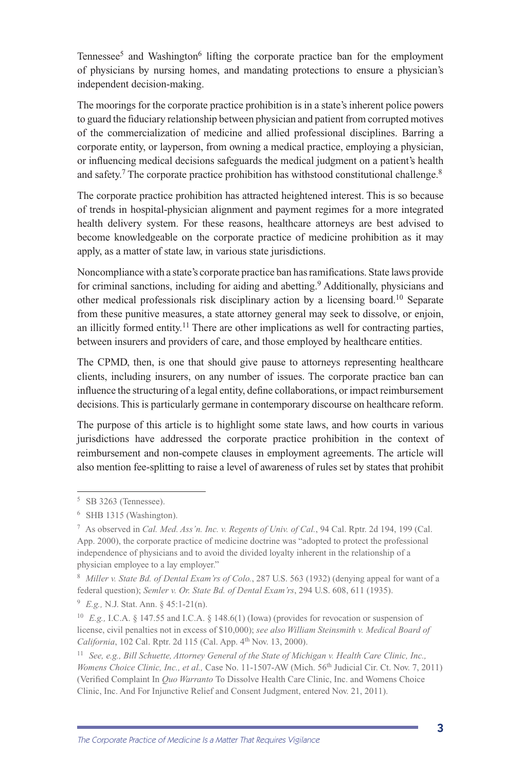Tennessee<sup>5</sup> and Washington<sup>6</sup> lifting the corporate practice ban for the employment of physicians by nursing homes, and mandating protections to ensure a physician's independent decision-making.

The moorings for the corporate practice prohibition is in a state's inherent police powers to guard the fiduciary relationship between physician and patient from corrupted motives of the commercialization of medicine and allied professional disciplines. Barring a corporate entity, or layperson, from owning a medical practice, employing a physician, or influencing medical decisions safeguards the medical judgment on a patient's health and safety.<sup>7</sup> The corporate practice prohibition has withstood constitutional challenge.<sup>8</sup>

The corporate practice prohibition has attracted heightened interest. This is so because of trends in hospital-physician alignment and payment regimes for a more integrated health delivery system. For these reasons, healthcare attorneys are best advised to become knowledgeable on the corporate practice of medicine prohibition as it may apply, as a matter of state law, in various state jurisdictions.

Noncompliance with a state's corporate practice ban has ramifications. State laws provide for criminal sanctions, including for aiding and abetting.<sup>9</sup> Additionally, physicians and other medical professionals risk disciplinary action by a licensing board.10 Separate from these punitive measures, a state attorney general may seek to dissolve, or enjoin, an illicitly formed entity.<sup>11</sup> There are other implications as well for contracting parties, between insurers and providers of care, and those employed by healthcare entities.

The CPMD, then, is one that should give pause to attorneys representing healthcare clients, including insurers, on any number of issues. The corporate practice ban can influence the structuring of a legal entity, define collaborations, or impact reimbursement decisions. This is particularly germane in contemporary discourse on healthcare reform.

The purpose of this article is to highlight some state laws, and how courts in various jurisdictions have addressed the corporate practice prohibition in the context of reimbursement and non-compete clauses in employment agreements. The article will also mention fee-splitting to raise a level of awareness of rules set by states that prohibit

<sup>5</sup> SB 3263 (Tennessee).

<sup>6</sup> SHB 1315 (Washington).

<sup>7</sup> As observed in *Cal. Med. Ass'n. Inc. v. Regents of Univ. of Cal.*, 94 Cal. Rptr. 2d 194, 199 (Cal. App. 2000), the corporate practice of medicine doctrine was "adopted to protect the professional independence of physicians and to avoid the divided loyalty inherent in the relationship of a physician employee to a lay employer."

<sup>8</sup> *Miller v. State Bd. of Dental Exam'rs of Colo.*, 287 U.S. 563 (1932) (denying appeal for want of a federal question); *Semler v. Or. State Bd. of Dental Exam'rs*, 294 U.S. 608, 611 (1935).

<sup>9</sup> *E.g.,* N.J. Stat. Ann. § 45:1-21(n).

<sup>10</sup> *E.g.,* I.C.A. § 147.55 and I.C.A. § 148.6(1) (Iowa) (provides for revocation or suspension of license, civil penalties not in excess of \$10,000); *see also William Steinsmith v. Medical Board of California*, 102 Cal. Rptr. 2d 115 (Cal. App. 4th Nov. 13, 2000).

<sup>11</sup> *See, e.g., Bill Schuette, Attorney General of the State of Michigan v. Health Care Clinic, Inc., Womens Choice Clinic, Inc., et al., Case No. 11-1507-AW (Mich. 56<sup>th</sup> Judicial Cir. Ct. Nov. 7, 2011)* (Verified Complaint In *Quo Warranto* To Dissolve Health Care Clinic, Inc. and Womens Choice Clinic, Inc. And For Injunctive Relief and Consent Judgment, entered Nov. 21, 2011).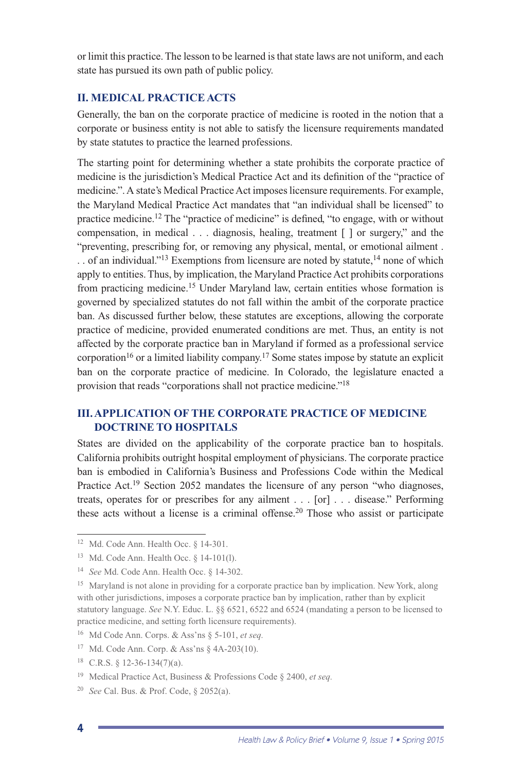or limit this practice. The lesson to be learned is that state laws are not uniform, and each state has pursued its own path of public policy.

#### **II. MEDICAL PRACTICE ACTS**

Generally, the ban on the corporate practice of medicine is rooted in the notion that a corporate or business entity is not able to satisfy the licensure requirements mandated by state statutes to practice the learned professions.

The starting point for determining whether a state prohibits the corporate practice of medicine is the jurisdiction's Medical Practice Act and its definition of the "practice of medicine.". A state's Medical Practice Act imposes licensure requirements. For example, the Maryland Medical Practice Act mandates that "an individual shall be licensed" to practice medicine.12 The "practice of medicine" is defined, "to engage, with or without compensation, in medical . . . diagnosis, healing, treatment [ ] or surgery," and the "preventing, prescribing for, or removing any physical, mental, or emotional ailment . . . of an individual."<sup>13</sup> Exemptions from licensure are noted by statute,<sup>14</sup> none of which apply to entities. Thus, by implication, the Maryland Practice Act prohibits corporations from practicing medicine.15 Under Maryland law, certain entities whose formation is governed by specialized statutes do not fall within the ambit of the corporate practice ban. As discussed further below, these statutes are exceptions, allowing the corporate practice of medicine, provided enumerated conditions are met. Thus, an entity is not affected by the corporate practice ban in Maryland if formed as a professional service corporation<sup>16</sup> or a limited liability company.<sup>17</sup> Some states impose by statute an explicit ban on the corporate practice of medicine. In Colorado, the legislature enacted a provision that reads "corporations shall not practice medicine."18

#### **III. APPLICATION OF THE CORPORATE PRACTICE OF MEDICINE DOCTRINE TO HOSPITALS**

States are divided on the applicability of the corporate practice ban to hospitals. California prohibits outright hospital employment of physicians. The corporate practice ban is embodied in California's Business and Professions Code within the Medical Practice Act.<sup>19</sup> Section 2052 mandates the licensure of any person "who diagnoses, treats, operates for or prescribes for any ailment . . . [or] . . . disease." Performing these acts without a license is a criminal offense.<sup>20</sup> Those who assist or participate

4

<sup>&</sup>lt;sup>12</sup> Md. Code Ann. Health Occ. § 14-301.

<sup>13</sup> Md. Code Ann. Health Occ. § 14-101(l).

<sup>14</sup> *See* Md. Code Ann. Health Occ. § 14-302.

<sup>&</sup>lt;sup>15</sup> Maryland is not alone in providing for a corporate practice ban by implication. New York, along with other jurisdictions, imposes a corporate practice ban by implication, rather than by explicit statutory language. *See* N.Y. Educ. L. §§ 6521, 6522 and 6524 (mandating a person to be licensed to practice medicine, and setting forth licensure requirements).

<sup>16</sup> Md Code Ann. Corps. & Ass'ns § 5-101, *et seq.* 

<sup>17</sup> Md. Code Ann. Corp. & Ass'ns § 4A-203(10).

 $18$  C.R.S.  $\{12-36-134(7)(a)\}.$ 

<sup>19</sup> Medical Practice Act, Business & Professions Code § 2400, *et seq.*

<sup>20</sup> *See* Cal. Bus. & Prof. Code, § 2052(a).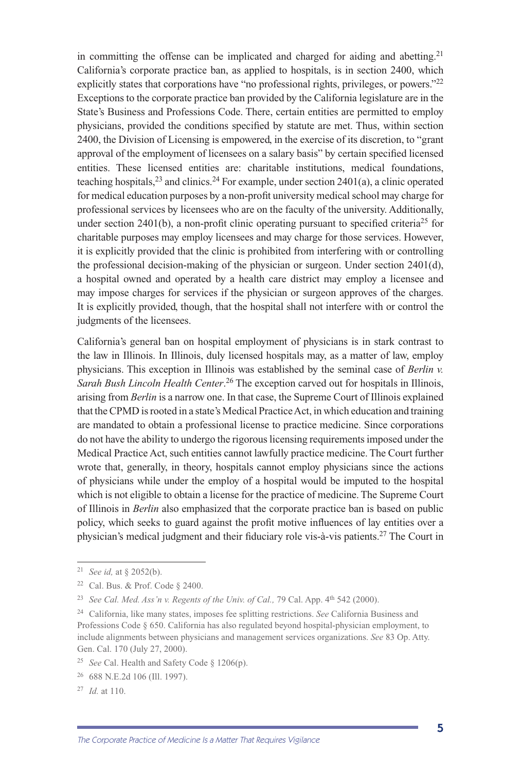in committing the offense can be implicated and charged for aiding and abetting.<sup>21</sup> California's corporate practice ban, as applied to hospitals, is in section 2400, which explicitly states that corporations have "no professional rights, privileges, or powers."<sup>22</sup> Exceptions to the corporate practice ban provided by the California legislature are in the State's Business and Professions Code. There, certain entities are permitted to employ physicians, provided the conditions specified by statute are met. Thus, within section 2400, the Division of Licensing is empowered, in the exercise of its discretion, to "grant approval of the employment of licensees on a salary basis" by certain specified licensed entities. These licensed entities are: charitable institutions, medical foundations, teaching hospitals,  $^{23}$  and clinics. <sup>24</sup> For example, under section 2401(a), a clinic operated for medical education purposes by a non-profit university medical school may charge for professional services by licensees who are on the faculty of the university. Additionally, under section 2401(b), a non-profit clinic operating pursuant to specified criteria<sup>25</sup> for charitable purposes may employ licensees and may charge for those services. However, it is explicitly provided that the clinic is prohibited from interfering with or controlling the professional decision-making of the physician or surgeon. Under section 2401(d), a hospital owned and operated by a health care district may employ a licensee and may impose charges for services if the physician or surgeon approves of the charges. It is explicitly provided, though, that the hospital shall not interfere with or control the judgments of the licensees.

California's general ban on hospital employment of physicians is in stark contrast to the law in Illinois. In Illinois, duly licensed hospitals may, as a matter of law, employ physicians. This exception in Illinois was established by the seminal case of *Berlin v. Sarah Bush Lincoln Health Center*. 26 The exception carved out for hospitals in Illinois, arising from *Berlin* is a narrow one. In that case, the Supreme Court of Illinois explained that the CPMD is rooted in a state's Medical Practice Act, in which education and training are mandated to obtain a professional license to practice medicine. Since corporations do not have the ability to undergo the rigorous licensing requirements imposed under the Medical Practice Act, such entities cannot lawfully practice medicine. The Court further wrote that, generally, in theory, hospitals cannot employ physicians since the actions of physicians while under the employ of a hospital would be imputed to the hospital which is not eligible to obtain a license for the practice of medicine. The Supreme Court of Illinois in *Berlin* also emphasized that the corporate practice ban is based on public policy, which seeks to guard against the profit motive influences of lay entities over a physician's medical judgment and their fiduciary role vis-à-vis patients.27 The Court in

<sup>21</sup> *See id,* at § 2052(b).

<sup>22</sup> Cal. Bus. & Prof. Code § 2400.

<sup>&</sup>lt;sup>23</sup> *See Cal. Med. Ass'n v. Regents of the Univ. of Cal., 79 Cal. App. 4<sup>th</sup> 542 (2000).* 

<sup>24</sup> California, like many states, imposes fee splitting restrictions. *See* California Business and Professions Code § 650. California has also regulated beyond hospital-physician employment, to include alignments between physicians and management services organizations. *See* 83 Op. Atty. Gen. Cal. 170 (July 27, 2000).

<sup>25</sup> *See* Cal. Health and Safety Code § 1206(p).

<sup>26 688</sup> N.E.2d 106 (Ill. 1997).

<sup>27</sup> *Id.* at 110.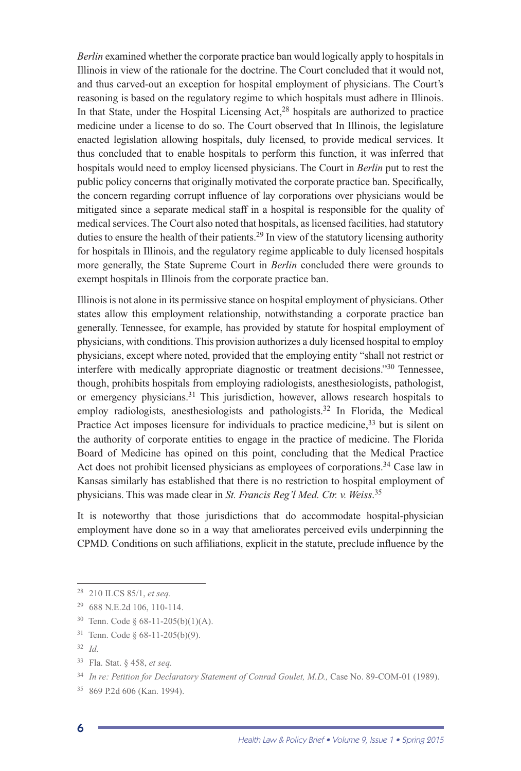*Berlin* examined whether the corporate practice ban would logically apply to hospitals in Illinois in view of the rationale for the doctrine. The Court concluded that it would not, and thus carved-out an exception for hospital employment of physicians. The Court's reasoning is based on the regulatory regime to which hospitals must adhere in Illinois. In that State, under the Hospital Licensing  $Act<sub>1</sub><sup>28</sup>$  hospitals are authorized to practice medicine under a license to do so. The Court observed that In Illinois, the legislature enacted legislation allowing hospitals, duly licensed, to provide medical services. It thus concluded that to enable hospitals to perform this function, it was inferred that hospitals would need to employ licensed physicians. The Court in *Berlin* put to rest the public policy concerns that originally motivated the corporate practice ban. Specifically, the concern regarding corrupt influence of lay corporations over physicians would be mitigated since a separate medical staff in a hospital is responsible for the quality of medical services. The Court also noted that hospitals, as licensed facilities, had statutory duties to ensure the health of their patients.<sup>29</sup> In view of the statutory licensing authority for hospitals in Illinois, and the regulatory regime applicable to duly licensed hospitals more generally, the State Supreme Court in *Berlin* concluded there were grounds to exempt hospitals in Illinois from the corporate practice ban.

Illinois is not alone in its permissive stance on hospital employment of physicians. Other states allow this employment relationship, notwithstanding a corporate practice ban generally. Tennessee, for example, has provided by statute for hospital employment of physicians, with conditions. This provision authorizes a duly licensed hospital to employ physicians, except where noted, provided that the employing entity "shall not restrict or interfere with medically appropriate diagnostic or treatment decisions."30 Tennessee, though, prohibits hospitals from employing radiologists, anesthesiologists, pathologist, or emergency physicians.<sup>31</sup> This jurisdiction, however, allows research hospitals to employ radiologists, anesthesiologists and pathologists.<sup>32</sup> In Florida, the Medical Practice Act imposes licensure for individuals to practice medicine,<sup>33</sup> but is silent on the authority of corporate entities to engage in the practice of medicine. The Florida Board of Medicine has opined on this point, concluding that the Medical Practice Act does not prohibit licensed physicians as employees of corporations.<sup>34</sup> Case law in Kansas similarly has established that there is no restriction to hospital employment of physicians. This was made clear in *St. Francis Reg'l Med. Ctr. v. Weiss*. 35

It is noteworthy that those jurisdictions that do accommodate hospital-physician employment have done so in a way that ameliorates perceived evils underpinning the CPMD. Conditions on such affiliations, explicit in the statute, preclude influence by the

<sup>32</sup> *Id.*

6

<sup>28 210</sup> ILCS 85/1, *et seq.*

<sup>29 688</sup> N.E.2d 106, 110-114.

<sup>&</sup>lt;sup>30</sup> Tenn. Code  $\delta$  68-11-205(b)(1)(A).

<sup>31</sup> Tenn. Code § 68-11-205(b)(9).

<sup>33</sup> Fla. Stat. § 458, *et seq.*

<sup>&</sup>lt;sup>34</sup> In re: Petition for Declaratory Statement of Conrad Goulet, M.D., Case No. 89-COM-01 (1989).

<sup>35 869</sup> P.2d 606 (Kan. 1994).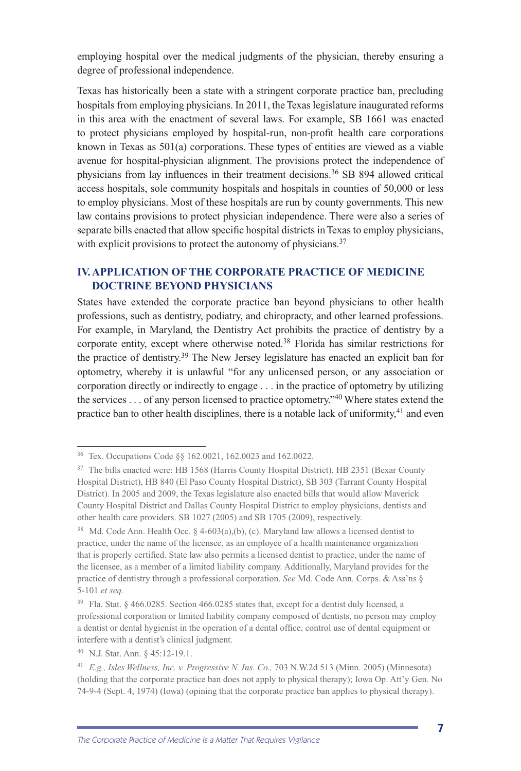employing hospital over the medical judgments of the physician, thereby ensuring a degree of professional independence.

Texas has historically been a state with a stringent corporate practice ban, precluding hospitals from employing physicians. In 2011, the Texas legislature inaugurated reforms in this area with the enactment of several laws. For example, SB 1661 was enacted to protect physicians employed by hospital-run, non-profit health care corporations known in Texas as 501(a) corporations. These types of entities are viewed as a viable avenue for hospital-physician alignment. The provisions protect the independence of physicians from lay influences in their treatment decisions.36 SB 894 allowed critical access hospitals, sole community hospitals and hospitals in counties of 50,000 or less to employ physicians. Most of these hospitals are run by county governments. This new law contains provisions to protect physician independence. There were also a series of separate bills enacted that allow specific hospital districts in Texas to employ physicians, with explicit provisions to protect the autonomy of physicians.<sup>37</sup>

#### **IV. APPLICATION OF THE CORPORATE PRACTICE OF MEDICINE DOCTRINE BEYOND PHYSICIANS**

States have extended the corporate practice ban beyond physicians to other health professions, such as dentistry, podiatry, and chiropracty, and other learned professions. For example, in Maryland, the Dentistry Act prohibits the practice of dentistry by a corporate entity, except where otherwise noted.38 Florida has similar restrictions for the practice of dentistry.39 The New Jersey legislature has enacted an explicit ban for optometry, whereby it is unlawful "for any unlicensed person, or any association or corporation directly or indirectly to engage . . . in the practice of optometry by utilizing the services  $\ldots$  of any person licensed to practice optometry.<sup> $\cdot$ 40</sup> Where states extend the practice ban to other health disciplines, there is a notable lack of uniformity,  $41$  and even

<sup>36</sup> Tex. Occupations Code §§ 162.0021, 162.0023 and 162.0022.

<sup>&</sup>lt;sup>37</sup> The bills enacted were: HB 1568 (Harris County Hospital District), HB 2351 (Bexar County Hospital District), HB 840 (El Paso County Hospital District), SB 303 (Tarrant County Hospital District). In 2005 and 2009, the Texas legislature also enacted bills that would allow Maverick County Hospital District and Dallas County Hospital District to employ physicians, dentists and other health care providers. SB 1027 (2005) and SB 1705 (2009), respectively.

<sup>&</sup>lt;sup>38</sup> Md. Code Ann. Health Occ. § 4-603(a),(b), (c). Maryland law allows a licensed dentist to practice, under the name of the licensee, as an employee of a health maintenance organization that is properly certified. State law also permits a licensed dentist to practice, under the name of the licensee, as a member of a limited liability company. Additionally, Maryland provides for the practice of dentistry through a professional corporation. *See* Md. Code Ann. Corps. & Ass'ns § 5-101 *et seq.* 

<sup>39</sup> Fla. Stat. § 466.0285. Section 466.0285 states that, except for a dentist duly licensed, a professional corporation or limited liability company composed of dentists, no person may employ a dentist or dental hygienist in the operation of a dental office, control use of dental equipment or interfere with a dentist's clinical judgment.

<sup>40</sup> N.J. Stat. Ann. § 45:12-19.1.

<sup>&</sup>lt;sup>41</sup> *E.g., Isles Wellness, Inc. v. Progressive N. Ins. Co., 703 N.W.2d 513 (Minn. 2005) (Minnesota)* (holding that the corporate practice ban does not apply to physical therapy); Iowa Op. Att'y Gen. No 74-9-4 (Sept. 4, 1974) (Iowa) (opining that the corporate practice ban applies to physical therapy).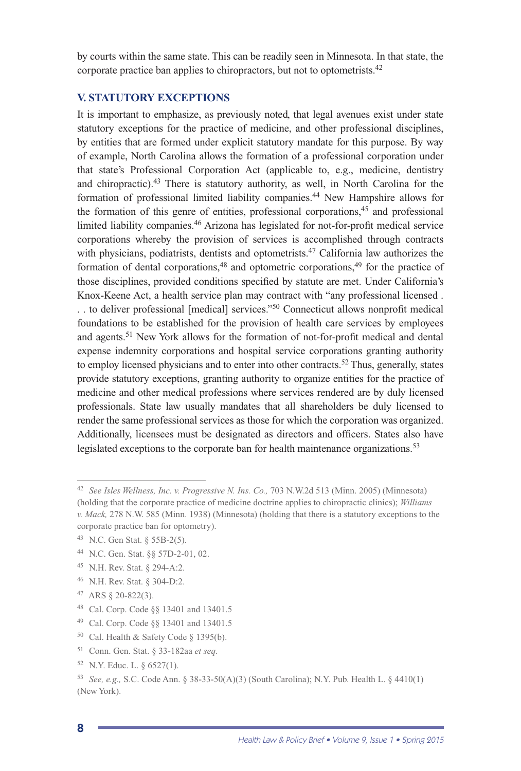by courts within the same state. This can be readily seen in Minnesota. In that state, the corporate practice ban applies to chiropractors, but not to optometrists.42

#### **V. STATUTORY EXCEPTIONS**

It is important to emphasize, as previously noted, that legal avenues exist under state statutory exceptions for the practice of medicine, and other professional disciplines, by entities that are formed under explicit statutory mandate for this purpose. By way of example, North Carolina allows the formation of a professional corporation under that state's Professional Corporation Act (applicable to, e.g., medicine, dentistry and chiropractic).43 There is statutory authority, as well, in North Carolina for the formation of professional limited liability companies.44 New Hampshire allows for the formation of this genre of entities, professional corporations,<sup>45</sup> and professional limited liability companies.46 Arizona has legislated for not-for-profit medical service corporations whereby the provision of services is accomplished through contracts with physicians, podiatrists, dentists and optometrists.<sup>47</sup> California law authorizes the formation of dental corporations,<sup>48</sup> and optometric corporations,<sup>49</sup> for the practice of those disciplines, provided conditions specified by statute are met. Under California's Knox-Keene Act, a health service plan may contract with "any professional licensed . . . to deliver professional [medical] services."50 Connecticut allows nonprofit medical foundations to be established for the provision of health care services by employees and agents.51 New York allows for the formation of not-for-profit medical and dental expense indemnity corporations and hospital service corporations granting authority to employ licensed physicians and to enter into other contracts.<sup>52</sup> Thus, generally, states provide statutory exceptions, granting authority to organize entities for the practice of medicine and other medical professions where services rendered are by duly licensed professionals. State law usually mandates that all shareholders be duly licensed to render the same professional services as those for which the corporation was organized. Additionally, licensees must be designated as directors and officers. States also have legislated exceptions to the corporate ban for health maintenance organizations.<sup>53</sup>

- 47 ARS § 20-822(3).
- 48 Cal. Corp. Code §§ 13401 and 13401.5
- 49 Cal. Corp. Code §§ 13401 and 13401.5
- $50$  Cal. Health & Safety Code § 1395(b).
- 51 Conn. Gen. Stat. § 33-182aa *et seq.*
- 52 N.Y. Educ. L. § 6527(1).

<sup>42</sup> *See Isles Wellness, Inc. v. Progressive N. Ins. Co.,* 703 N.W.2d 513 (Minn. 2005) (Minnesota) (holding that the corporate practice of medicine doctrine applies to chiropractic clinics); *Williams v. Mack,* 278 N.W. 585 (Minn. 1938) (Minnesota) (holding that there is a statutory exceptions to the corporate practice ban for optometry).

<sup>43</sup> N.C. Gen Stat. § 55B-2(5).

<sup>44</sup> N.C. Gen. Stat. §§ 57D-2-01, 02.

<sup>45</sup> N.H. Rev. Stat. § 294-A:2.

<sup>46</sup> N.H. Rev. Stat. § 304-D:2.

<sup>53</sup> *See, e.g.,* S.C. Code Ann. § 38-33-50(A)(3) (South Carolina); N.Y. Pub. Health L. § 4410(1) (New York).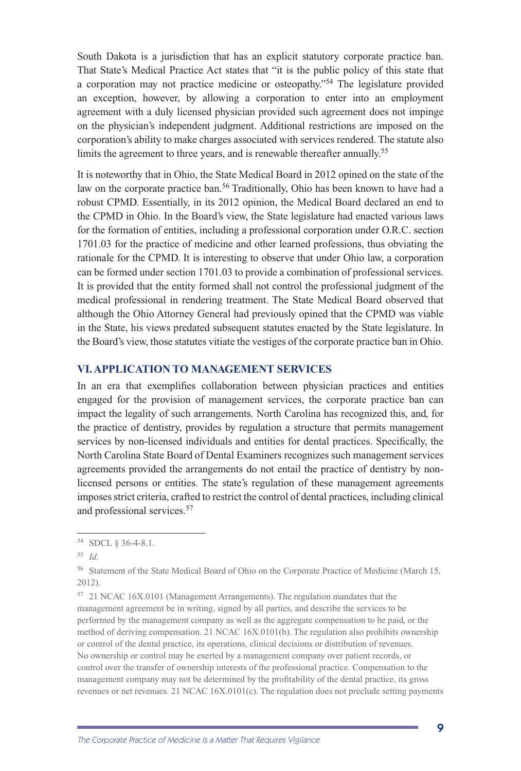South Dakota is a jurisdiction that has an explicit statutory corporate practice ban. That State's Medical Practice Act states that "it is the public policy of this state that a corporation may not practice medicine or osteopathy."54 The legislature provided an exception, however, by allowing a corporation to enter into an employment agreement with a duly licensed physician provided such agreement does not impinge on the physician's independent judgment. Additional restrictions are imposed on the corporation's ability to make charges associated with services rendered. The statute also limits the agreement to three years, and is renewable thereafter annually.<sup>55</sup>

It is noteworthy that in Ohio, the State Medical Board in 2012 opined on the state of the law on the corporate practice ban.<sup>56</sup> Traditionally, Ohio has been known to have had a robust CPMD. Essentially, in its 2012 opinion, the Medical Board declared an end to the CPMD in Ohio. In the Board's view, the State legislature had enacted various laws for the formation of entities, including a professional corporation under O.R.C. section 1701.03 for the practice of medicine and other learned professions, thus obviating the rationale for the CPMD. It is interesting to observe that under Ohio law, a corporation can be formed under section 1701.03 to provide a combination of professional services. It is provided that the entity formed shall not control the professional judgment of the medical professional in rendering treatment. The State Medical Board observed that although the Ohio Attorney General had previously opined that the CPMD was viable in the State, his views predated subsequent statutes enacted by the State legislature. In the Board's view, those statutes vitiate the vestiges of the corporate practice ban in Ohio.

#### **VI. APPLICATION TO MANAGEMENT SERVICES**

In an era that exemplifies collaboration between physician practices and entities engaged for the provision of management services, the corporate practice ban can impact the legality of such arrangements. North Carolina has recognized this, and, for the practice of dentistry, provides by regulation a structure that permits management services by non-licensed individuals and entities for dental practices. Specifically, the North Carolina State Board of Dental Examiners recognizes such management services agreements provided the arrangements do not entail the practice of dentistry by nonlicensed persons or entities. The state's regulation of these management agreements imposes strict criteria, crafted to restrict the control of dental practices, including clinical and professional services.<sup>57</sup>

<sup>54</sup> SDCL § 36-4-8.1.

<sup>55</sup> *Id.*

<sup>56</sup> Statement of the State Medical Board of Ohio on the Corporate Practice of Medicine (March 15, 2012).

<sup>57 21</sup> NCAC 16X.0101 (Management Arrangements). The regulation mandates that the management agreement be in writing, signed by all parties, and describe the services to be performed by the management company as well as the aggregate compensation to be paid, or the method of deriving compensation. 21 NCAC 16X.0101(b). The regulation also prohibits ownership or control of the dental practice, its operations, clinical decisions or distribution of revenues. No ownership or control may be exerted by a management company over patient records, or control over the transfer of ownership interests of the professional practice. Compensation to the management company may not be determined by the profitability of the dental practice, its gross revenues or net revenues. 21 NCAC 16X.0101(c). The regulation does not preclude setting payments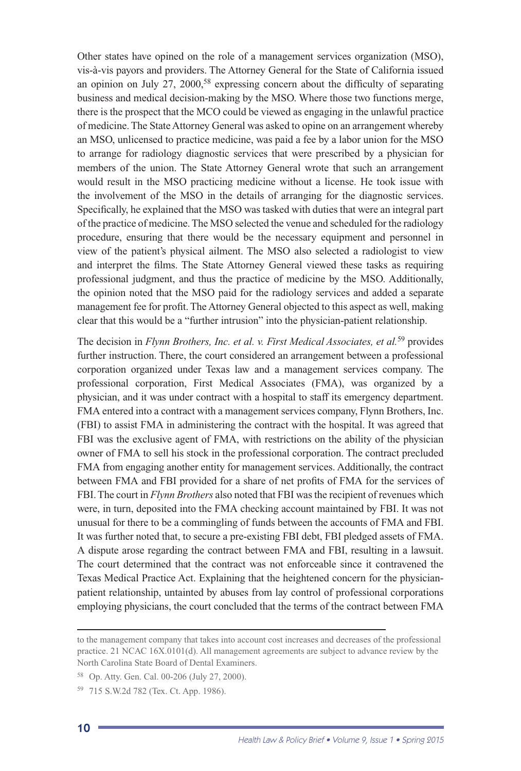Other states have opined on the role of a management services organization (MSO), vis-à-vis payors and providers. The Attorney General for the State of California issued an opinion on July 27, 2000,<sup>58</sup> expressing concern about the difficulty of separating business and medical decision-making by the MSO. Where those two functions merge, there is the prospect that the MCO could be viewed as engaging in the unlawful practice of medicine. The State Attorney General was asked to opine on an arrangement whereby an MSO, unlicensed to practice medicine, was paid a fee by a labor union for the MSO to arrange for radiology diagnostic services that were prescribed by a physician for members of the union. The State Attorney General wrote that such an arrangement would result in the MSO practicing medicine without a license. He took issue with the involvement of the MSO in the details of arranging for the diagnostic services. Specifically, he explained that the MSO was tasked with duties that were an integral part of the practice of medicine. The MSO selected the venue and scheduled for the radiology procedure, ensuring that there would be the necessary equipment and personnel in view of the patient's physical ailment. The MSO also selected a radiologist to view and interpret the films. The State Attorney General viewed these tasks as requiring professional judgment, and thus the practice of medicine by the MSO. Additionally, the opinion noted that the MSO paid for the radiology services and added a separate management fee for profit. The Attorney General objected to this aspect as well, making clear that this would be a "further intrusion" into the physician-patient relationship.

The decision in *Flynn Brothers, Inc. et al. v. First Medical Associates, et al.*59 provides further instruction. There, the court considered an arrangement between a professional corporation organized under Texas law and a management services company. The professional corporation, First Medical Associates (FMA), was organized by a physician, and it was under contract with a hospital to staff its emergency department. FMA entered into a contract with a management services company, Flynn Brothers, Inc. (FBI) to assist FMA in administering the contract with the hospital. It was agreed that FBI was the exclusive agent of FMA, with restrictions on the ability of the physician owner of FMA to sell his stock in the professional corporation. The contract precluded FMA from engaging another entity for management services. Additionally, the contract between FMA and FBI provided for a share of net profits of FMA for the services of FBI. The court in *Flynn Brothers* also noted that FBI was the recipient of revenues which were, in turn, deposited into the FMA checking account maintained by FBI. It was not unusual for there to be a commingling of funds between the accounts of FMA and FBI. It was further noted that, to secure a pre-existing FBI debt, FBI pledged assets of FMA. A dispute arose regarding the contract between FMA and FBI, resulting in a lawsuit. The court determined that the contract was not enforceable since it contravened the Texas Medical Practice Act. Explaining that the heightened concern for the physicianpatient relationship, untainted by abuses from lay control of professional corporations employing physicians, the court concluded that the terms of the contract between FMA

to the management company that takes into account cost increases and decreases of the professional practice. 21 NCAC 16X.0101(d). All management agreements are subject to advance review by the North Carolina State Board of Dental Examiners.

<sup>58</sup> Op. Atty. Gen. Cal. 00-206 (July 27, 2000).

<sup>59 715</sup> S.W.2d 782 (Tex. Ct. App. 1986).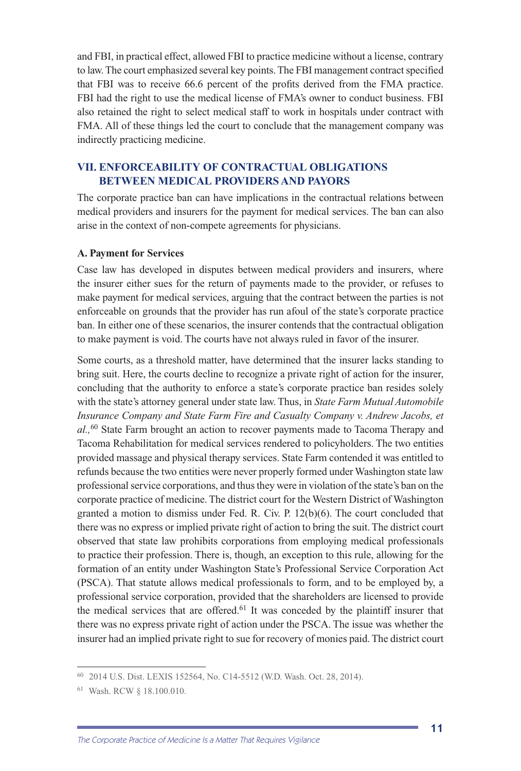and FBI, in practical effect, allowed FBI to practice medicine without a license, contrary to law. The court emphasized several key points. The FBI management contract specified that FBI was to receive 66.6 percent of the profits derived from the FMA practice. FBI had the right to use the medical license of FMA's owner to conduct business. FBI also retained the right to select medical staff to work in hospitals under contract with FMA. All of these things led the court to conclude that the management company was indirectly practicing medicine.

#### **VII. ENFORCEABILITY OF CONTRACTUAL OBLIGATIONS BETWEEN MEDICAL PROVIDERS AND PAYORS**

The corporate practice ban can have implications in the contractual relations between medical providers and insurers for the payment for medical services. The ban can also arise in the context of non-compete agreements for physicians.

#### **A. Payment for Services**

Case law has developed in disputes between medical providers and insurers, where the insurer either sues for the return of payments made to the provider, or refuses to make payment for medical services, arguing that the contract between the parties is not enforceable on grounds that the provider has run afoul of the state's corporate practice ban. In either one of these scenarios, the insurer contends that the contractual obligation to make payment is void. The courts have not always ruled in favor of the insurer.

Some courts, as a threshold matter, have determined that the insurer lacks standing to bring suit. Here, the courts decline to recognize a private right of action for the insurer, concluding that the authority to enforce a state's corporate practice ban resides solely with the state's attorney general under state law. Thus, in *State Farm Mutual Automobile Insurance Company and State Farm Fire and Casualty Company v. Andrew Jacobs, et al.,*<sup>60</sup> State Farm brought an action to recover payments made to Tacoma Therapy and Tacoma Rehabilitation for medical services rendered to policyholders. The two entities provided massage and physical therapy services. State Farm contended it was entitled to refunds because the two entities were never properly formed under Washington state law professional service corporations, and thus they were in violation of the state's ban on the corporate practice of medicine. The district court for the Western District of Washington granted a motion to dismiss under Fed. R. Civ. P. 12(b)(6). The court concluded that there was no express or implied private right of action to bring the suit. The district court observed that state law prohibits corporations from employing medical professionals to practice their profession. There is, though, an exception to this rule, allowing for the formation of an entity under Washington State's Professional Service Corporation Act (PSCA). That statute allows medical professionals to form, and to be employed by, a professional service corporation, provided that the shareholders are licensed to provide the medical services that are offered.61 It was conceded by the plaintiff insurer that there was no express private right of action under the PSCA. The issue was whether the insurer had an implied private right to sue for recovery of monies paid. The district court

<sup>60 2014</sup> U.S. Dist. LEXIS 152564, No. C14-5512 (W.D. Wash. Oct. 28, 2014).

<sup>61</sup> Wash. RCW § 18.100.010.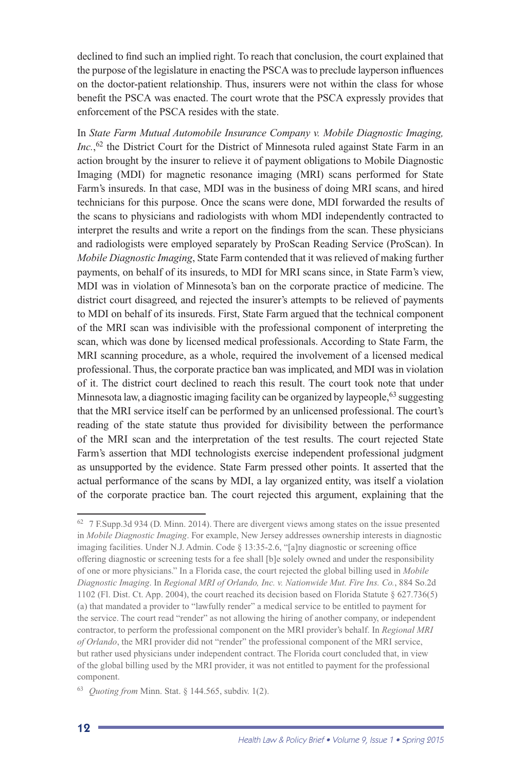declined to find such an implied right. To reach that conclusion, the court explained that the purpose of the legislature in enacting the PSCA was to preclude layperson influences on the doctor-patient relationship. Thus, insurers were not within the class for whose benefit the PSCA was enacted. The court wrote that the PSCA expressly provides that enforcement of the PSCA resides with the state.

In *State Farm Mutual Automobile Insurance Company v. Mobile Diagnostic Imaging,*  Inc.,<sup>62</sup> the District Court for the District of Minnesota ruled against State Farm in an action brought by the insurer to relieve it of payment obligations to Mobile Diagnostic Imaging (MDI) for magnetic resonance imaging (MRI) scans performed for State Farm's insureds. In that case, MDI was in the business of doing MRI scans, and hired technicians for this purpose. Once the scans were done, MDI forwarded the results of the scans to physicians and radiologists with whom MDI independently contracted to interpret the results and write a report on the findings from the scan. These physicians and radiologists were employed separately by ProScan Reading Service (ProScan). In *Mobile Diagnostic Imaging*, State Farm contended that it was relieved of making further payments, on behalf of its insureds, to MDI for MRI scans since, in State Farm's view, MDI was in violation of Minnesota's ban on the corporate practice of medicine. The district court disagreed, and rejected the insurer's attempts to be relieved of payments to MDI on behalf of its insureds. First, State Farm argued that the technical component of the MRI scan was indivisible with the professional component of interpreting the scan, which was done by licensed medical professionals. According to State Farm, the MRI scanning procedure, as a whole, required the involvement of a licensed medical professional. Thus, the corporate practice ban was implicated, and MDI was in violation of it. The district court declined to reach this result. The court took note that under Minnesota law, a diagnostic imaging facility can be organized by laypeople,<sup>63</sup> suggesting that the MRI service itself can be performed by an unlicensed professional. The court's reading of the state statute thus provided for divisibility between the performance of the MRI scan and the interpretation of the test results. The court rejected State Farm's assertion that MDI technologists exercise independent professional judgment as unsupported by the evidence. State Farm pressed other points. It asserted that the actual performance of the scans by MDI, a lay organized entity, was itself a violation of the corporate practice ban. The court rejected this argument, explaining that the

<sup>62 7</sup> F.Supp.3d 934 (D. Minn. 2014). There are divergent views among states on the issue presented in *Mobile Diagnostic Imaging*. For example, New Jersey addresses ownership interests in diagnostic imaging facilities. Under N.J. Admin. Code § 13:35-2.6, "[a]ny diagnostic or screening office offering diagnostic or screening tests for a fee shall [b]e solely owned and under the responsibility of one or more physicians." In a Florida case, the court rejected the global billing used in *Mobile Diagnostic Imaging*. In *Regional MRI of Orlando, Inc. v. Nationwide Mut. Fire Ins. Co.*, 884 So.2d 1102 (Fl. Dist. Ct. App. 2004), the court reached its decision based on Florida Statute § 627.736(5) (a) that mandated a provider to "lawfully render" a medical service to be entitled to payment for the service. The court read "render" as not allowing the hiring of another company, or independent contractor, to perform the professional component on the MRI provider's behalf. In *Regional MRI of Orlando*, the MRI provider did not "render" the professional component of the MRI service, but rather used physicians under independent contract. The Florida court concluded that, in view of the global billing used by the MRI provider, it was not entitled to payment for the professional component.

<sup>63</sup> *Quoting from* Minn. Stat. § 144.565, subdiv. 1(2).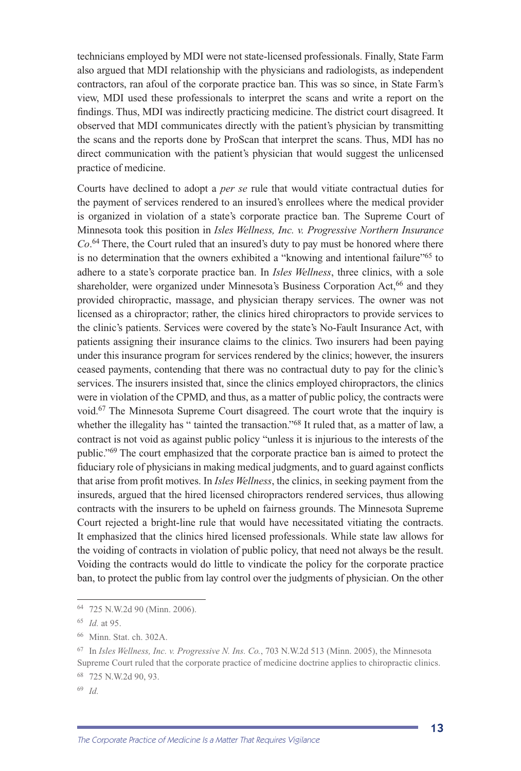technicians employed by MDI were not state-licensed professionals. Finally, State Farm also argued that MDI relationship with the physicians and radiologists, as independent contractors, ran afoul of the corporate practice ban. This was so since, in State Farm's view, MDI used these professionals to interpret the scans and write a report on the findings. Thus, MDI was indirectly practicing medicine. The district court disagreed. It observed that MDI communicates directly with the patient's physician by transmitting the scans and the reports done by ProScan that interpret the scans. Thus, MDI has no direct communication with the patient's physician that would suggest the unlicensed practice of medicine.

Courts have declined to adopt a *per se* rule that would vitiate contractual duties for the payment of services rendered to an insured's enrollees where the medical provider is organized in violation of a state's corporate practice ban. The Supreme Court of Minnesota took this position in *Isles Wellness, Inc. v. Progressive Northern Insurance Co*. 64 There, the Court ruled that an insured's duty to pay must be honored where there is no determination that the owners exhibited a "knowing and intentional failure"<sup>65</sup> to adhere to a state's corporate practice ban. In *Isles Wellness*, three clinics, with a sole shareholder, were organized under Minnesota's Business Corporation Act,<sup>66</sup> and they provided chiropractic, massage, and physician therapy services. The owner was not licensed as a chiropractor; rather, the clinics hired chiropractors to provide services to the clinic's patients. Services were covered by the state's No-Fault Insurance Act, with patients assigning their insurance claims to the clinics. Two insurers had been paying under this insurance program for services rendered by the clinics; however, the insurers ceased payments, contending that there was no contractual duty to pay for the clinic's services. The insurers insisted that, since the clinics employed chiropractors, the clinics were in violation of the CPMD, and thus, as a matter of public policy, the contracts were void.67 The Minnesota Supreme Court disagreed. The court wrote that the inquiry is whether the illegality has " tainted the transaction."<sup>68</sup> It ruled that, as a matter of law, a contract is not void as against public policy "unless it is injurious to the interests of the public."69 The court emphasized that the corporate practice ban is aimed to protect the fiduciary role of physicians in making medical judgments, and to guard against conflicts that arise from profit motives. In *Isles Wellness*, the clinics, in seeking payment from the insureds, argued that the hired licensed chiropractors rendered services, thus allowing contracts with the insurers to be upheld on fairness grounds. The Minnesota Supreme Court rejected a bright-line rule that would have necessitated vitiating the contracts. It emphasized that the clinics hired licensed professionals. While state law allows for the voiding of contracts in violation of public policy, that need not always be the result. Voiding the contracts would do little to vindicate the policy for the corporate practice ban, to protect the public from lay control over the judgments of physician. On the other

<sup>69</sup> *Id.*

<sup>64 725</sup> N.W.2d 90 (Minn. 2006).

<sup>65</sup> *Id.* at 95.

<sup>66</sup> Minn. Stat. ch. 302A.

<sup>67</sup> In *Isles Wellness, Inc. v. Progressive N. Ins. Co.*, 703 N.W.2d 513 (Minn. 2005), the Minnesota Supreme Court ruled that the corporate practice of medicine doctrine applies to chiropractic clinics. 68 725 N.W.2d 90, 93.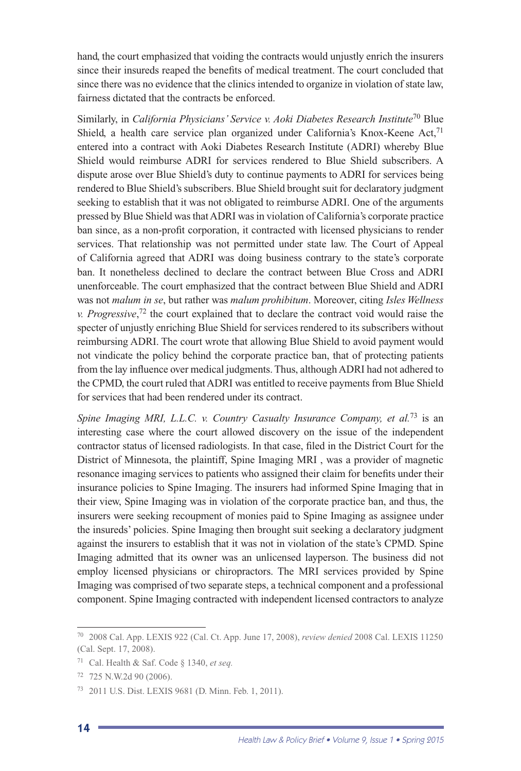hand, the court emphasized that voiding the contracts would unjustly enrich the insurers since their insureds reaped the benefits of medical treatment. The court concluded that since there was no evidence that the clinics intended to organize in violation of state law, fairness dictated that the contracts be enforced.

Similarly, in *California Physicians' Service v. Aoki Diabetes Research Institute*70 Blue Shield, a health care service plan organized under California's Knox-Keene Act, $71$ entered into a contract with Aoki Diabetes Research Institute (ADRI) whereby Blue Shield would reimburse ADRI for services rendered to Blue Shield subscribers. A dispute arose over Blue Shield's duty to continue payments to ADRI for services being rendered to Blue Shield's subscribers. Blue Shield brought suit for declaratory judgment seeking to establish that it was not obligated to reimburse ADRI. One of the arguments pressed by Blue Shield was that ADRI was in violation of California's corporate practice ban since, as a non-profit corporation, it contracted with licensed physicians to render services. That relationship was not permitted under state law. The Court of Appeal of California agreed that ADRI was doing business contrary to the state's corporate ban. It nonetheless declined to declare the contract between Blue Cross and ADRI unenforceable. The court emphasized that the contract between Blue Shield and ADRI was not *malum in se*, but rather was *malum prohibitum*. Moreover, citing *Isles Wellness v. Progressive*, 72 the court explained that to declare the contract void would raise the specter of unjustly enriching Blue Shield for services rendered to its subscribers without reimbursing ADRI. The court wrote that allowing Blue Shield to avoid payment would not vindicate the policy behind the corporate practice ban, that of protecting patients from the lay influence over medical judgments. Thus, although ADRI had not adhered to the CPMD, the court ruled that ADRI was entitled to receive payments from Blue Shield for services that had been rendered under its contract.

*Spine Imaging MRI, L.L.C. v. Country Casualty Insurance Company, et al.*<sup>73</sup> is an interesting case where the court allowed discovery on the issue of the independent contractor status of licensed radiologists. In that case, filed in the District Court for the District of Minnesota, the plaintiff, Spine Imaging MRI , was a provider of magnetic resonance imaging services to patients who assigned their claim for benefits under their insurance policies to Spine Imaging. The insurers had informed Spine Imaging that in their view, Spine Imaging was in violation of the corporate practice ban, and thus, the insurers were seeking recoupment of monies paid to Spine Imaging as assignee under the insureds' policies. Spine Imaging then brought suit seeking a declaratory judgment against the insurers to establish that it was not in violation of the state's CPMD. Spine Imaging admitted that its owner was an unlicensed layperson. The business did not employ licensed physicians or chiropractors. The MRI services provided by Spine Imaging was comprised of two separate steps, a technical component and a professional component. Spine Imaging contracted with independent licensed contractors to analyze

<sup>70 2008</sup> Cal. App. LEXIS 922 (Cal. Ct. App. June 17, 2008), *review denied* 2008 Cal. LEXIS 11250 (Cal. Sept. 17, 2008).

<sup>71</sup> Cal. Health & Saf. Code § 1340, *et seq.*

<sup>72 725</sup> N.W.2d 90 (2006).

<sup>73 2011</sup> U.S. Dist. LEXIS 9681 (D. Minn. Feb. 1, 2011).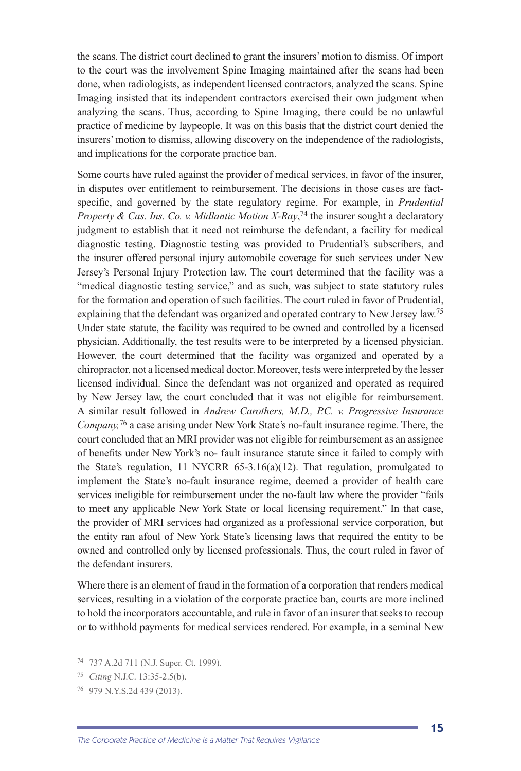the scans. The district court declined to grant the insurers' motion to dismiss. Of import to the court was the involvement Spine Imaging maintained after the scans had been done, when radiologists, as independent licensed contractors, analyzed the scans. Spine Imaging insisted that its independent contractors exercised their own judgment when analyzing the scans. Thus, according to Spine Imaging, there could be no unlawful practice of medicine by laypeople. It was on this basis that the district court denied the insurers' motion to dismiss, allowing discovery on the independence of the radiologists, and implications for the corporate practice ban.

Some courts have ruled against the provider of medical services, in favor of the insurer, in disputes over entitlement to reimbursement. The decisions in those cases are factspecific, and governed by the state regulatory regime. For example, in *Prudential Property & Cas. Ins. Co. v. Midlantic Motion X-Ray*, 74 the insurer sought a declaratory judgment to establish that it need not reimburse the defendant, a facility for medical diagnostic testing. Diagnostic testing was provided to Prudential's subscribers, and the insurer offered personal injury automobile coverage for such services under New Jersey's Personal Injury Protection law. The court determined that the facility was a "medical diagnostic testing service," and as such, was subject to state statutory rules for the formation and operation of such facilities. The court ruled in favor of Prudential, explaining that the defendant was organized and operated contrary to New Jersey law.<sup>75</sup> Under state statute, the facility was required to be owned and controlled by a licensed physician. Additionally, the test results were to be interpreted by a licensed physician. However, the court determined that the facility was organized and operated by a chiropractor, not a licensed medical doctor. Moreover, tests were interpreted by the lesser licensed individual. Since the defendant was not organized and operated as required by New Jersey law, the court concluded that it was not eligible for reimbursement. A similar result followed in *Andrew Carothers, M.D., P.C. v. Progressive Insurance Company,*<sup>76</sup> a case arising under New York State's no-fault insurance regime. There, the court concluded that an MRI provider was not eligible for reimbursement as an assignee of benefits under New York's no- fault insurance statute since it failed to comply with the State's regulation, 11 NYCRR 65-3.16(a)(12). That regulation, promulgated to implement the State's no-fault insurance regime, deemed a provider of health care services ineligible for reimbursement under the no-fault law where the provider "fails to meet any applicable New York State or local licensing requirement." In that case, the provider of MRI services had organized as a professional service corporation, but the entity ran afoul of New York State's licensing laws that required the entity to be owned and controlled only by licensed professionals. Thus, the court ruled in favor of the defendant insurers.

Where there is an element of fraud in the formation of a corporation that renders medical services, resulting in a violation of the corporate practice ban, courts are more inclined to hold the incorporators accountable, and rule in favor of an insurer that seeks to recoup or to withhold payments for medical services rendered. For example, in a seminal New

<sup>74 737</sup> A.2d 711 (N.J. Super. Ct. 1999).

<sup>75</sup> *Citing* N.J.C. 13:35-2.5(b).

<sup>76 979</sup> N.Y.S.2d 439 (2013).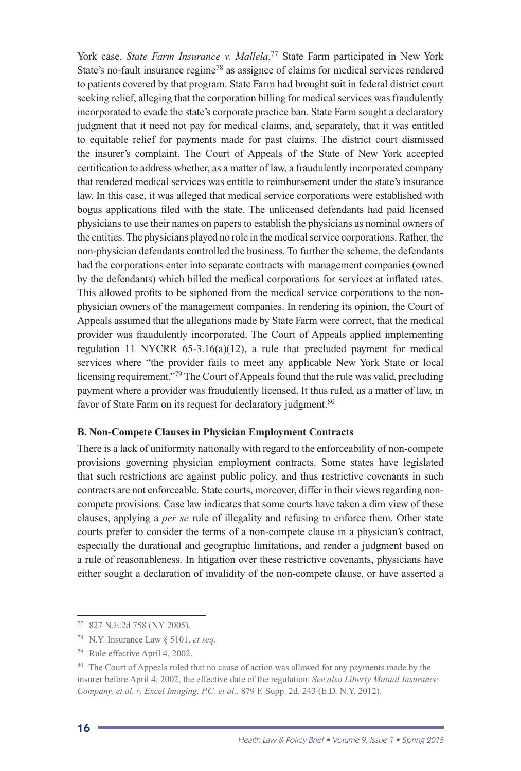York case, *State Farm Insurance v. Mallela*, 77 State Farm participated in New York State's no-fault insurance regime<sup>78</sup> as assignee of claims for medical services rendered to patients covered by that program. State Farm had brought suit in federal district court seeking relief, alleging that the corporation billing for medical services was fraudulently incorporated to evade the state's corporate practice ban. State Farm sought a declaratory judgment that it need not pay for medical claims, and, separately, that it was entitled to equitable relief for payments made for past claims. The district court dismissed the insurer's complaint. The Court of Appeals of the State of New York accepted certification to address whether, as a matter of law, a fraudulently incorporated company that rendered medical services was entitle to reimbursement under the state's insurance law. In this case, it was alleged that medical service corporations were established with bogus applications filed with the state. The unlicensed defendants had paid licensed physicians to use their names on papers to establish the physicians as nominal owners of the entities. The physicians played no role in the medical service corporations. Rather, the non-physician defendants controlled the business. To further the scheme, the defendants had the corporations enter into separate contracts with management companies (owned by the defendants) which billed the medical corporations for services at inflated rates. This allowed profits to be siphoned from the medical service corporations to the nonphysician owners of the management companies. In rendering its opinion, the Court of Appeals assumed that the allegations made by State Farm were correct, that the medical provider was fraudulently incorporated. The Court of Appeals applied implementing regulation 11 NYCRR 65-3.16(a)(12), a rule that precluded payment for medical services where "the provider fails to meet any applicable New York State or local licensing requirement."79 The Court of Appeals found that the rule was valid, precluding payment where a provider was fraudulently licensed. It thus ruled, as a matter of law, in favor of State Farm on its request for declaratory judgment.<sup>80</sup>

#### **B. Non-Compete Clauses in Physician Employment Contracts**

There is a lack of uniformity nationally with regard to the enforceability of non-compete provisions governing physician employment contracts. Some states have legislated that such restrictions are against public policy, and thus restrictive covenants in such contracts are not enforceable. State courts, moreover, differ in their views regarding noncompete provisions. Case law indicates that some courts have taken a dim view of these clauses, applying a *per se* rule of illegality and refusing to enforce them. Other state courts prefer to consider the terms of a non-compete clause in a physician's contract, especially the durational and geographic limitations, and render a judgment based on a rule of reasonableness. In litigation over these restrictive covenants, physicians have either sought a declaration of invalidity of the non-compete clause, or have asserted a

<sup>&</sup>lt;sup>80</sup> The Court of Appeals ruled that no cause of action was allowed for any payments made by the insurer before April 4, 2002, the effective date of the regulation. *See also Liberty Mutual Insurance Company, et al. v. Excel Imaging, P.C. et al.,* 879 F. Supp. 2d. 243 (E.D. N.Y. 2012).



<sup>77 827</sup> N.E.2d 758 (NY 2005).

<sup>78</sup> N.Y. Insurance Law § 5101, *et seq.*

<sup>79</sup> Rule effective April 4, 2002.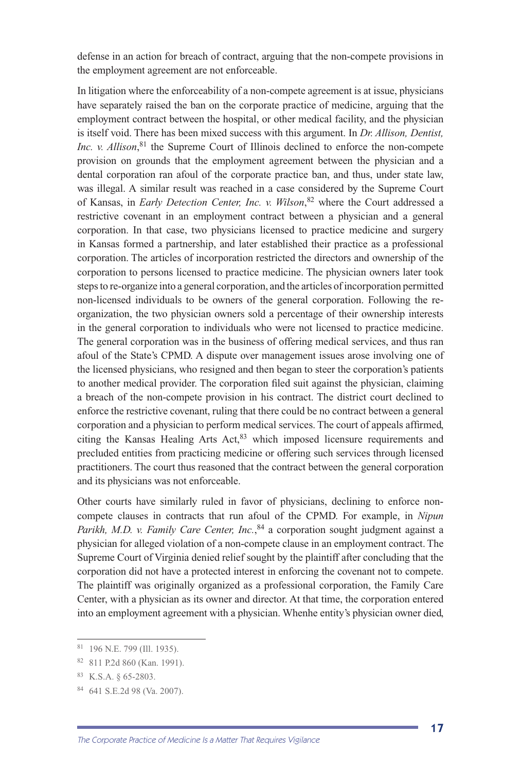defense in an action for breach of contract, arguing that the non-compete provisions in the employment agreement are not enforceable.

In litigation where the enforceability of a non-compete agreement is at issue, physicians have separately raised the ban on the corporate practice of medicine, arguing that the employment contract between the hospital, or other medical facility, and the physician is itself void. There has been mixed success with this argument. In *Dr. Allison, Dentist, Inc.* v. Allison,<sup>81</sup> the Supreme Court of Illinois declined to enforce the non-compete provision on grounds that the employment agreement between the physician and a dental corporation ran afoul of the corporate practice ban, and thus, under state law, was illegal. A similar result was reached in a case considered by the Supreme Court of Kansas, in *Early Detection Center, Inc. v. Wilson*, 82 where the Court addressed a restrictive covenant in an employment contract between a physician and a general corporation. In that case, two physicians licensed to practice medicine and surgery in Kansas formed a partnership, and later established their practice as a professional corporation. The articles of incorporation restricted the directors and ownership of the corporation to persons licensed to practice medicine. The physician owners later took steps to re-organize into a general corporation, and the articles of incorporation permitted non-licensed individuals to be owners of the general corporation. Following the reorganization, the two physician owners sold a percentage of their ownership interests in the general corporation to individuals who were not licensed to practice medicine. The general corporation was in the business of offering medical services, and thus ran afoul of the State's CPMD. A dispute over management issues arose involving one of the licensed physicians, who resigned and then began to steer the corporation's patients to another medical provider. The corporation filed suit against the physician, claiming a breach of the non-compete provision in his contract. The district court declined to enforce the restrictive covenant, ruling that there could be no contract between a general corporation and a physician to perform medical services. The court of appeals affirmed, citing the Kansas Healing Arts Act, $83$  which imposed licensure requirements and precluded entities from practicing medicine or offering such services through licensed practitioners. The court thus reasoned that the contract between the general corporation and its physicians was not enforceable.

Other courts have similarly ruled in favor of physicians, declining to enforce noncompete clauses in contracts that run afoul of the CPMD. For example, in *Nipun*  Parikh, M.D. v. Family Care Center, Inc., <sup>84</sup> a corporation sought judgment against a physician for alleged violation of a non-compete clause in an employment contract. The Supreme Court of Virginia denied relief sought by the plaintiff after concluding that the corporation did not have a protected interest in enforcing the covenant not to compete. The plaintiff was originally organized as a professional corporation, the Family Care Center, with a physician as its owner and director. At that time, the corporation entered into an employment agreement with a physician. Whenhe entity's physician owner died,

<sup>81 196</sup> N.E. 799 (Ill. 1935).

<sup>82 811</sup> P.2d 860 (Kan. 1991).

<sup>83</sup> K.S.A. § 65-2803.

<sup>84 641</sup> S.E.2d 98 (Va. 2007).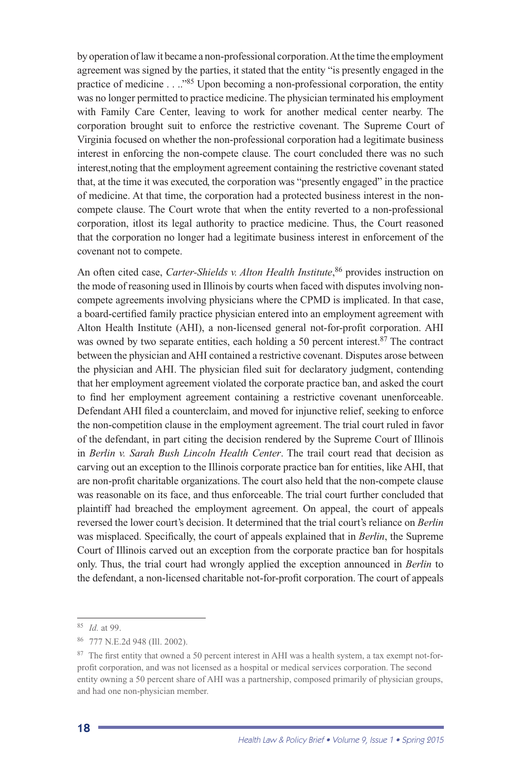by operation of law it became a non-professional corporation. At the time the employment agreement was signed by the parties, it stated that the entity "is presently engaged in the practice of medicine . . .."85 Upon becoming a non-professional corporation, the entity was no longer permitted to practice medicine. The physician terminated his employment with Family Care Center, leaving to work for another medical center nearby. The corporation brought suit to enforce the restrictive covenant. The Supreme Court of Virginia focused on whether the non-professional corporation had a legitimate business interest in enforcing the non-compete clause. The court concluded there was no such interest,noting that the employment agreement containing the restrictive covenant stated that, at the time it was executed, the corporation was "presently engaged" in the practice of medicine. At that time, the corporation had a protected business interest in the noncompete clause. The Court wrote that when the entity reverted to a non-professional corporation, itlost its legal authority to practice medicine. Thus, the Court reasoned that the corporation no longer had a legitimate business interest in enforcement of the covenant not to compete.

An often cited case, *Carter-Shields v. Alton Health Institute*, 86 provides instruction on the mode of reasoning used in Illinois by courts when faced with disputes involving noncompete agreements involving physicians where the CPMD is implicated. In that case, a board-certified family practice physician entered into an employment agreement with Alton Health Institute (AHI), a non-licensed general not-for-profit corporation. AHI was owned by two separate entities, each holding a 50 percent interest. $87$  The contract between the physician and AHI contained a restrictive covenant. Disputes arose between the physician and AHI. The physician filed suit for declaratory judgment, contending that her employment agreement violated the corporate practice ban, and asked the court to find her employment agreement containing a restrictive covenant unenforceable. Defendant AHI filed a counterclaim, and moved for injunctive relief, seeking to enforce the non-competition clause in the employment agreement. The trial court ruled in favor of the defendant, in part citing the decision rendered by the Supreme Court of Illinois in *Berlin v. Sarah Bush Lincoln Health Center*. The trail court read that decision as carving out an exception to the Illinois corporate practice ban for entities, like AHI, that are non-profit charitable organizations. The court also held that the non-compete clause was reasonable on its face, and thus enforceable. The trial court further concluded that plaintiff had breached the employment agreement. On appeal, the court of appeals reversed the lower court's decision. It determined that the trial court's reliance on *Berlin* was misplaced. Specifically, the court of appeals explained that in *Berlin*, the Supreme Court of Illinois carved out an exception from the corporate practice ban for hospitals only. Thus, the trial court had wrongly applied the exception announced in *Berlin* to the defendant, a non-licensed charitable not-for-profit corporation. The court of appeals

<sup>85</sup> *Id.* at 99.

<sup>86 777</sup> N.E.2d 948 (Ill. 2002).

<sup>&</sup>lt;sup>87</sup> The first entity that owned a 50 percent interest in AHI was a health system, a tax exempt not-forprofit corporation, and was not licensed as a hospital or medical services corporation. The second entity owning a 50 percent share of AHI was a partnership, composed primarily of physician groups, and had one non-physician member.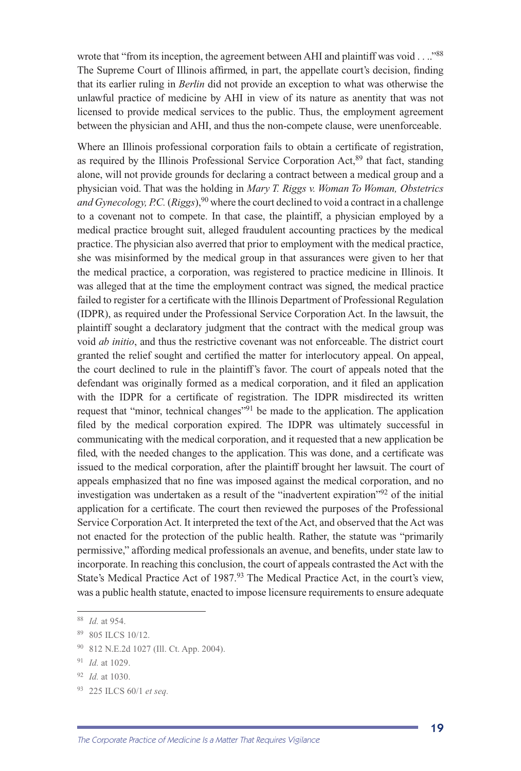wrote that "from its inception, the agreement between AHI and plaintiff was void . . .."<sup>88</sup> The Supreme Court of Illinois affirmed, in part, the appellate court's decision, finding that its earlier ruling in *Berlin* did not provide an exception to what was otherwise the unlawful practice of medicine by AHI in view of its nature as anentity that was not licensed to provide medical services to the public. Thus, the employment agreement between the physician and AHI, and thus the non-compete clause, were unenforceable.

Where an Illinois professional corporation fails to obtain a certificate of registration, as required by the Illinois Professional Service Corporation Act,<sup>89</sup> that fact, standing alone, will not provide grounds for declaring a contract between a medical group and a physician void. That was the holding in *Mary T. Riggs v. Woman To Woman, Obstetrics and Gynecology, P.C.* (*Riggs*),<sup>90</sup> where the court declined to void a contract in a challenge to a covenant not to compete. In that case, the plaintiff, a physician employed by a medical practice brought suit, alleged fraudulent accounting practices by the medical practice. The physician also averred that prior to employment with the medical practice, she was misinformed by the medical group in that assurances were given to her that the medical practice, a corporation, was registered to practice medicine in Illinois. It was alleged that at the time the employment contract was signed, the medical practice failed to register for a certificate with the Illinois Department of Professional Regulation (IDPR), as required under the Professional Service Corporation Act. In the lawsuit, the plaintiff sought a declaratory judgment that the contract with the medical group was void *ab initio*, and thus the restrictive covenant was not enforceable. The district court granted the relief sought and certified the matter for interlocutory appeal. On appeal, the court declined to rule in the plaintiff's favor. The court of appeals noted that the defendant was originally formed as a medical corporation, and it filed an application with the IDPR for a certificate of registration. The IDPR misdirected its written request that "minor, technical changes"91 be made to the application. The application filed by the medical corporation expired. The IDPR was ultimately successful in communicating with the medical corporation, and it requested that a new application be filed, with the needed changes to the application. This was done, and a certificate was issued to the medical corporation, after the plaintiff brought her lawsuit. The court of appeals emphasized that no fine was imposed against the medical corporation, and no investigation was undertaken as a result of the "inadvertent expiration"92 of the initial application for a certificate. The court then reviewed the purposes of the Professional Service Corporation Act. It interpreted the text of the Act, and observed that the Act was not enacted for the protection of the public health. Rather, the statute was "primarily permissive," affording medical professionals an avenue, and benefits, under state law to incorporate. In reaching this conclusion, the court of appeals contrasted the Act with the State's Medical Practice Act of 1987.<sup>93</sup> The Medical Practice Act, in the court's view, was a public health statute, enacted to impose licensure requirements to ensure adequate

<sup>88</sup> *Id.* at 954.

<sup>89 805</sup> ILCS 10/12.

<sup>90 812</sup> N.E.2d 1027 (Ill. Ct. App. 2004).

<sup>91</sup> *Id.* at 1029.

<sup>92</sup> *Id.* at 1030.

<sup>93 225</sup> ILCS 60/1 *et seq.*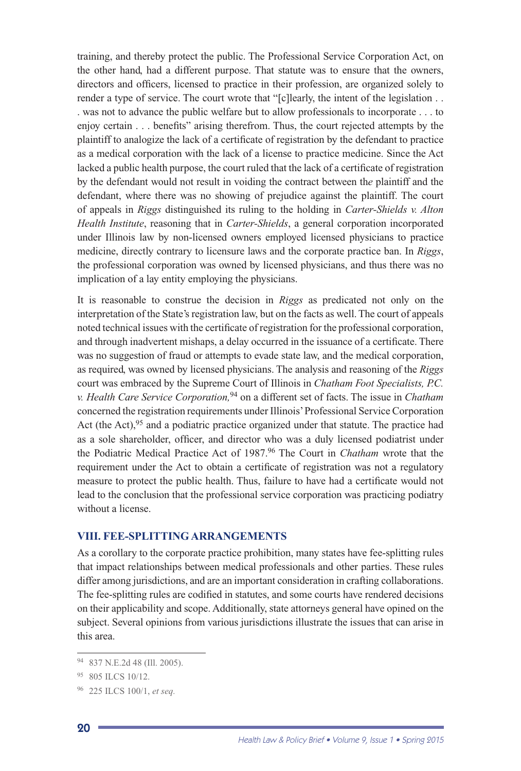training, and thereby protect the public. The Professional Service Corporation Act, on the other hand, had a different purpose. That statute was to ensure that the owners, directors and officers, licensed to practice in their profession, are organized solely to render a type of service. The court wrote that "[c]learly, the intent of the legislation . . . was not to advance the public welfare but to allow professionals to incorporate . . . to enjoy certain . . . benefits" arising therefrom. Thus, the court rejected attempts by the plaintiff to analogize the lack of a certificate of registration by the defendant to practice as a medical corporation with the lack of a license to practice medicine. Since the Act lacked a public health purpose, the court ruled that the lack of a certificate of registration by the defendant would not result in voiding the contract between th*e* plaintiff and the defendant, where there was no showing of prejudice against the plaintiff. The court of appeals in *Riggs* distinguished its ruling to the holding in *Carter-Shields v. Alton Health Institute*, reasoning that in *Carter-Shields*, a general corporation incorporated under Illinois law by non-licensed owners employed licensed physicians to practice medicine, directly contrary to licensure laws and the corporate practice ban. In *Riggs*, the professional corporation was owned by licensed physicians, and thus there was no implication of a lay entity employing the physicians.

It is reasonable to construe the decision in *Riggs* as predicated not only on the interpretation of the State's registration law, but on the facts as well. The court of appeals noted technical issues with the certificate of registration for the professional corporation, and through inadvertent mishaps, a delay occurred in the issuance of a certificate. There was no suggestion of fraud or attempts to evade state law, and the medical corporation, as required, was owned by licensed physicians. The analysis and reasoning of the *Riggs* court was embraced by the Supreme Court of Illinois in *Chatham Foot Specialists, P.C. v. Health Care Service Corporation,*94 on a different set of facts. The issue in *Chatham*  concerned the registration requirements under Illinois' Professional Service Corporation Act (the Act),  $95$  and a podiatric practice organized under that statute. The practice had as a sole shareholder, officer, and director who was a duly licensed podiatrist under the Podiatric Medical Practice Act of 1987.96 The Court in *Chatham* wrote that the requirement under the Act to obtain a certificate of registration was not a regulatory measure to protect the public health. Thus, failure to have had a certificate would not lead to the conclusion that the professional service corporation was practicing podiatry without a license.

#### **VIII. FEE-SPLITTING ARRANGEMENTS**

As a corollary to the corporate practice prohibition, many states have fee-splitting rules that impact relationships between medical professionals and other parties. These rules differ among jurisdictions, and are an important consideration in crafting collaborations. The fee-splitting rules are codified in statutes, and some courts have rendered decisions on their applicability and scope. Additionally, state attorneys general have opined on the subject. Several opinions from various jurisdictions illustrate the issues that can arise in this area.

<sup>94 837</sup> N.E.2d 48 (Ill. 2005).

<sup>95 805</sup> ILCS 10/12.

<sup>96 225</sup> ILCS 100/1, *et seq.*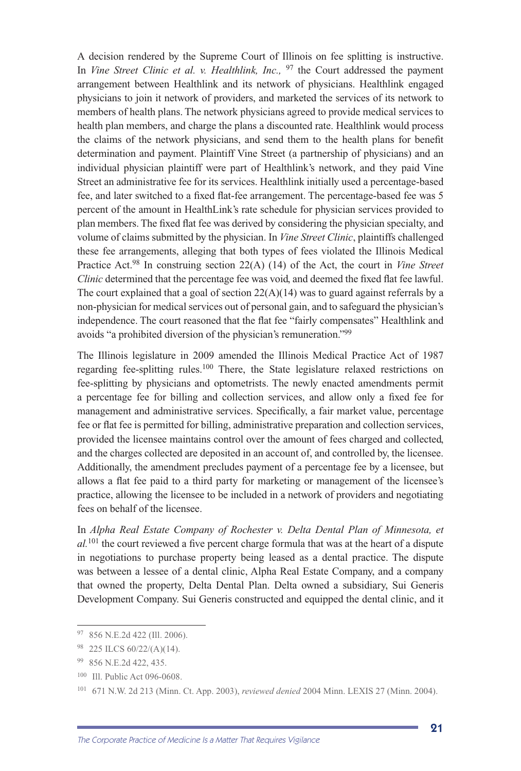A decision rendered by the Supreme Court of Illinois on fee splitting is instructive. In *Vine Street Clinic et al. v. Healthlink, Inc.*, <sup>97</sup> the Court addressed the payment arrangement between Healthlink and its network of physicians. Healthlink engaged physicians to join it network of providers, and marketed the services of its network to members of health plans. The network physicians agreed to provide medical services to health plan members, and charge the plans a discounted rate. Healthlink would process the claims of the network physicians, and send them to the health plans for benefit determination and payment. Plaintiff Vine Street (a partnership of physicians) and an individual physician plaintiff were part of Healthlink's network, and they paid Vine Street an administrative fee for its services. Healthlink initially used a percentage-based fee, and later switched to a fixed flat-fee arrangement. The percentage-based fee was 5 percent of the amount in HealthLink's rate schedule for physician services provided to plan members. The fixed flat fee was derived by considering the physician specialty, and volume of claims submitted by the physician. In *Vine Street Clinic*, plaintiffs challenged these fee arrangements, alleging that both types of fees violated the Illinois Medical Practice Act.98 In construing section 22(A) (14) of the Act, the court in *Vine Street Clinic* determined that the percentage fee was void, and deemed the fixed flat fee lawful. The court explained that a goal of section  $22(A)(14)$  was to guard against referrals by a non-physician for medical services out of personal gain, and to safeguard the physician's independence. The court reasoned that the flat fee "fairly compensates" Healthlink and avoids "a prohibited diversion of the physician's remuneration."99

The Illinois legislature in 2009 amended the Illinois Medical Practice Act of 1987 regarding fee-splitting rules.<sup>100</sup> There, the State legislature relaxed restrictions on fee-splitting by physicians and optometrists. The newly enacted amendments permit a percentage fee for billing and collection services, and allow only a fixed fee for management and administrative services. Specifically, a fair market value, percentage fee or flat fee is permitted for billing, administrative preparation and collection services, provided the licensee maintains control over the amount of fees charged and collected, and the charges collected are deposited in an account of, and controlled by, the licensee. Additionally, the amendment precludes payment of a percentage fee by a licensee, but allows a flat fee paid to a third party for marketing or management of the licensee's practice, allowing the licensee to be included in a network of providers and negotiating fees on behalf of the licensee.

In *Alpha Real Estate Company of Rochester v. Delta Dental Plan of Minnesota, et al.*<sup>101</sup> the court reviewed a five percent charge formula that was at the heart of a dispute in negotiations to purchase property being leased as a dental practice. The dispute was between a lessee of a dental clinic, Alpha Real Estate Company, and a company that owned the property, Delta Dental Plan. Delta owned a subsidiary, Sui Generis Development Company. Sui Generis constructed and equipped the dental clinic, and it

<sup>97 856</sup> N.E.2d 422 (Ill. 2006).

<sup>98 225</sup> ILCS 60/22/(A)(14).

<sup>99 856</sup> N.E.2d 422, 435.

<sup>100</sup> Ill. Public Act 096-0608.

<sup>101 671</sup> N.W. 2d 213 (Minn. Ct. App. 2003), *reviewed denied* 2004 Minn. LEXIS 27 (Minn. 2004).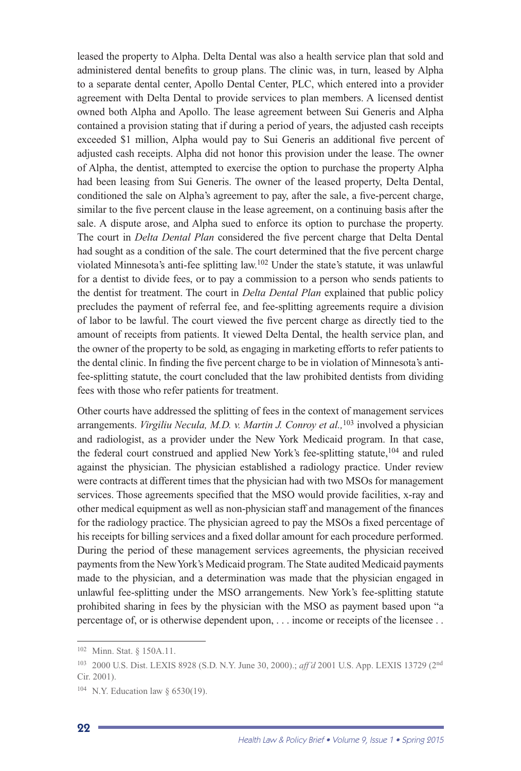leased the property to Alpha. Delta Dental was also a health service plan that sold and administered dental benefits to group plans. The clinic was, in turn, leased by Alpha to a separate dental center, Apollo Dental Center, PLC, which entered into a provider agreement with Delta Dental to provide services to plan members. A licensed dentist owned both Alpha and Apollo. The lease agreement between Sui Generis and Alpha contained a provision stating that if during a period of years, the adjusted cash receipts exceeded \$1 million, Alpha would pay to Sui Generis an additional five percent of adjusted cash receipts. Alpha did not honor this provision under the lease. The owner of Alpha, the dentist, attempted to exercise the option to purchase the property Alpha had been leasing from Sui Generis. The owner of the leased property, Delta Dental, conditioned the sale on Alpha's agreement to pay, after the sale, a five-percent charge, similar to the five percent clause in the lease agreement, on a continuing basis after the sale. A dispute arose, and Alpha sued to enforce its option to purchase the property. The court in *Delta Dental Plan* considered the five percent charge that Delta Dental had sought as a condition of the sale. The court determined that the five percent charge violated Minnesota's anti-fee splitting law.102 Under the state's statute, it was unlawful for a dentist to divide fees, or to pay a commission to a person who sends patients to the dentist for treatment. The court in *Delta Dental Plan* explained that public policy precludes the payment of referral fee, and fee-splitting agreements require a division of labor to be lawful. The court viewed the five percent charge as directly tied to the amount of receipts from patients. It viewed Delta Dental, the health service plan, and the owner of the property to be sold, as engaging in marketing efforts to refer patients to the dental clinic. In finding the five percent charge to be in violation of Minnesota's antifee-splitting statute, the court concluded that the law prohibited dentists from dividing fees with those who refer patients for treatment.

Other courts have addressed the splitting of fees in the context of management services arrangements. *Virgiliu Necula, M.D. v. Martin J. Conroy et al.,*<sup>103</sup> involved a physician and radiologist, as a provider under the New York Medicaid program. In that case, the federal court construed and applied New York's fee-splitting statute,<sup>104</sup> and ruled against the physician. The physician established a radiology practice. Under review were contracts at different times that the physician had with two MSOs for management services. Those agreements specified that the MSO would provide facilities, x-ray and other medical equipment as well as non-physician staff and management of the finances for the radiology practice. The physician agreed to pay the MSOs a fixed percentage of his receipts for billing services and a fixed dollar amount for each procedure performed. During the period of these management services agreements, the physician received payments from the New York's Medicaid program. The State audited Medicaid payments made to the physician, and a determination was made that the physician engaged in unlawful fee-splitting under the MSO arrangements. New York's fee-splitting statute prohibited sharing in fees by the physician with the MSO as payment based upon "a percentage of, or is otherwise dependent upon, . . . income or receipts of the licensee . .

<sup>102</sup> Minn. Stat. § 150A.11.

<sup>103 2000</sup> U.S. Dist. LEXIS 8928 (S.D. N.Y. June 30, 2000).; *aff'd* 2001 U.S. App. LEXIS 13729 (2nd Cir. 2001).

<sup>104</sup> N.Y. Education law § 6530(19).